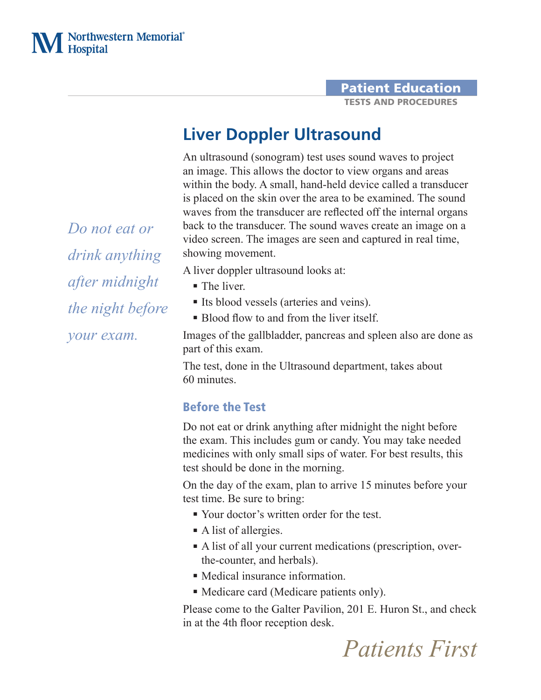### Patient Education TESTS AND PROCEDURES

# **Liver Doppler Ultrasound**

An ultrasound (sonogram) test uses sound waves to project an image. This allows the doctor to view organs and areas within the body. A small, hand-held device called a transducer is placed on the skin over the area to be examined. The sound waves from the transducer are reflected off the internal organs back to the transducer. The sound waves create an image on a video screen. The images are seen and captured in real time, showing movement.

A liver doppler ultrasound looks at:

- The liver
- Its blood vessels (arteries and veins).
- Blood flow to and from the liver itself.

Images of the gallbladder, pancreas and spleen also are done as part of this exam.

The test, done in the Ultrasound department, takes about 60 minutes.

# Before the Test

Do not eat or drink anything after midnight the night before the exam. This includes gum or candy. You may take needed medicines with only small sips of water. For best results, this test should be done in the morning.

On the day of the exam, plan to arrive 15 minutes before your test time. Be sure to bring:

- Your doctor's written order for the test.
- A list of allergies.
- A list of all your current medications (prescription, overthe-counter, and herbals).
- Medical insurance information.
- Medicare card (Medicare patients only).

Please come to the Galter Pavilion, 201 E. Huron St., and check in at the 4th floor reception desk.

*Do not eat or drink anything after midnight the night before your exam.*